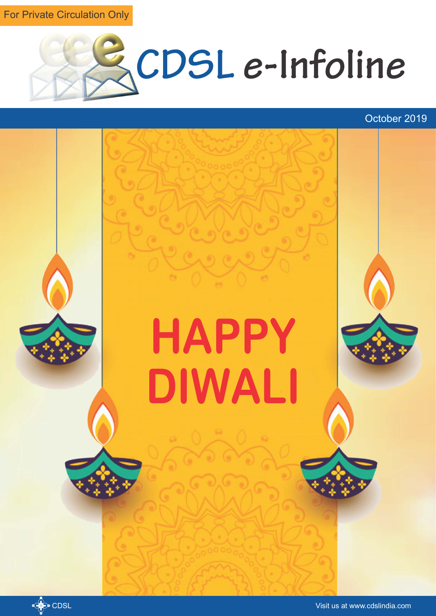For Private Circulation Only



October 2019

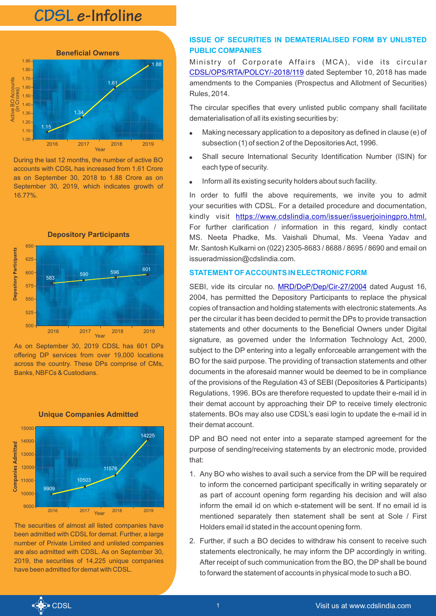# **CDSL e-Infoline**



During the last 12 months, the number of active BO accounts with CDSL has increased from 1.61 Crore as on September 30, 2018 to 1.88 Crore as on September 30, 2019, which indicates growth of 16.77%.



As on September 30, 2019 CDSL has 601 DPs offering DP services from over 19,000 locations across the country. These DPs comprise of CMs, Banks, NBFCs & Custodians.



**Unique Companies Admitted** 

The securities of almost all listed companies have been admitted with CDSL for demat. Further, a large number of Private Limited and unlisted companies are also admitted with CDSL. As on September 30, 2019, the securities of 14,225 unique companies have been admitted for demat with CDSL.

## **ISSUE OF SECURITIES IN DEMATERIALISED FORM BY UNLISTED PUBLIC COMPANIES**

Ministry of Corporate Affairs (MCA), vide its circular [CDSL/OPS/RTA/POLCY/-2018/119](https://www.cdslindia.com/publications/commprocedure.aspx?eventid=RTA2018-119) dated September 10, 2018 has made amendments to the Companies (Prospectus and Allotment of Securities) Rules, 2014.

The circular specifies that every unlisted public company shall facilitate dematerialisation of all its existing securities by:

- Making necessary application to a depository as defined in clause (e) of subsection (1) of section 2 of the Depositories Act, 1996.
- Shall secure International Security Identification Number (ISIN) for each type of security.
- Inform all its existing security holders about such facility.

In order to fulfil the above requirements, we invite you to admit your securities with CDSL. For a detailed procedure and documentation, kindly visit <u>[https://www.cdslindia.com/issuer/issuerjoiningpro.html.](https://www.cdslindia.com/issuer/issuer-joiningpro.html)</u> For further clarification / information in this regard, kindly contact MS. Neeta Phadke, Ms. Vaishali Dhumal, Ms. Veena Yadav and Mr. Santosh Kulkarni on (022) 2305-8683 / 8688 / 8695 / 8690 and email on issueradmission@cdslindia.com.

### **STATEMENT OF ACCOUNTS IN ELECTRONIC FORM**

SEBI, vide its circular no. MRD/DoP/Dep/Cir-27/2004 dated August 16, 2004, has permitted the Depository Participants to replace the physical copies of transaction and holding statements with electronic statements. As per the circular it has been decided to permit the DPs to provide transaction statements and other documents to the Beneficial Owners under Digital signature, as governed under the Information Technology Act, 2000, subject to the DP entering into a legally enforceable arrangement with the BO for the said purpose. The providing of transaction statements and other documents in the aforesaid manner would be deemed to be in compliance of the provisions of the Regulation 43 of SEBI (Depositories & Participants) Regulations, 1996. BOs are therefore requested to update their e-mail id in their demat account by approaching their DP to receive timely electronic statements. BOs may also use CDSL's easi login to update the e-mail id in their demat account.

DP and BO need not enter into a separate stamped agreement for the purpose of sending/receiving statements by an electronic mode, provided that:

- 1. Any BO who wishes to avail such a service from the DP will be required to inform the concerned participant specifically in writing separately or as part of account opening form regarding his decision and will also inform the email id on which e-statement will be sent. If no email id is mentioned separately then statement shall be sent at Sole / First Holders email id stated in the account opening form.
- 2. Further, if such a BO decides to withdraw his consent to receive such statements electronically, he may inform the DP accordingly in writing. After receipt of such communication from the BO, the DP shall be bound to forward the statement of accounts in physical mode to such a BO.